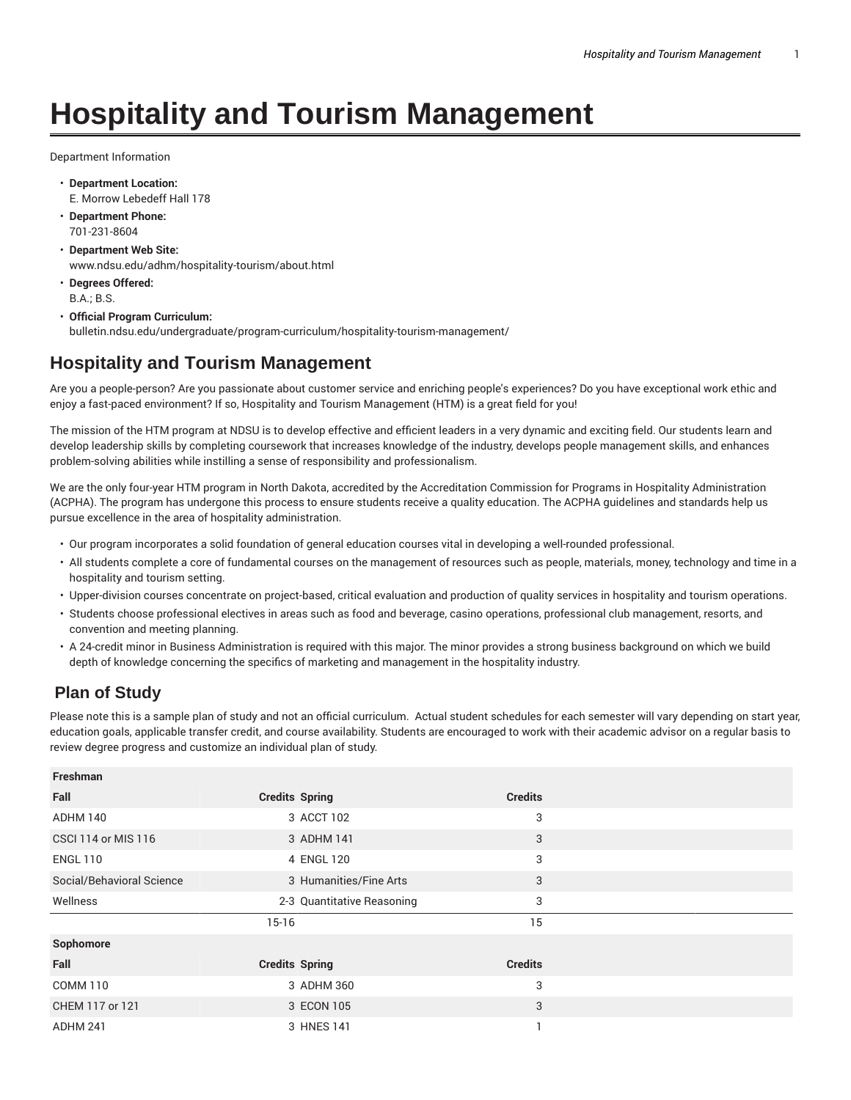## **Hospitality and Tourism Management**

Department Information

- **Department Location:** E. Morrow Lebedeff Hall 178
- **Department Phone:** 701-231-8604
- **Department Web Site:** www.ndsu.edu/adhm/hospitality-tourism/about.html
- **Degrees Offered:** B.A.; B.S.
- **Official Program Curriculum:** bulletin.ndsu.edu/undergraduate/program-curriculum/hospitality-tourism-management/

## **Hospitality and Tourism Management**

Are you a people-person? Are you passionate about customer service and enriching people's experiences? Do you have exceptional work ethic and enjoy a fast-paced environment? If so, Hospitality and Tourism Management (HTM) is a great field for you!

The mission of the HTM program at NDSU is to develop effective and efficient leaders in a very dynamic and exciting field. Our students learn and develop leadership skills by completing coursework that increases knowledge of the industry, develops people management skills, and enhances problem-solving abilities while instilling a sense of responsibility and professionalism.

We are the only four-year HTM program in North Dakota, accredited by the Accreditation Commission for Programs in Hospitality Administration (ACPHA). The program has undergone this process to ensure students receive a quality education. The ACPHA guidelines and standards help us pursue excellence in the area of hospitality administration.

- Our program incorporates a solid foundation of general education courses vital in developing a well-rounded professional.
- All students complete a core of fundamental courses on the management of resources such as people, materials, money, technology and time in a hospitality and tourism setting.
- Upper-division courses concentrate on project-based, critical evaluation and production of quality services in hospitality and tourism operations.
- Students choose professional electives in areas such as food and beverage, casino operations, professional club management, resorts, and convention and meeting planning.
- A 24-credit minor in Business Administration is required with this major. The minor provides a strong business background on which we build depth of knowledge concerning the specifics of marketing and management in the hospitality industry.

## **Plan of Study**

Please note this is a sample plan of study and not an official curriculum. Actual student schedules for each semester will vary depending on start year, education goals, applicable transfer credit, and course availability. Students are encouraged to work with their academic advisor on a regular basis to review degree progress and customize an individual plan of study.

| Freshman                   |                            |                |  |
|----------------------------|----------------------------|----------------|--|
| Fall                       | <b>Credits Spring</b>      | <b>Credits</b> |  |
| ADHM 140                   | 3 ACCT 102                 | 3              |  |
| <b>CSCI 114 or MIS 116</b> | 3 ADHM 141                 | 3              |  |
| <b>ENGL 110</b>            | 4 ENGL 120                 | 3              |  |
| Social/Behavioral Science  | 3 Humanities/Fine Arts     | 3              |  |
| Wellness                   | 2-3 Quantitative Reasoning | 3              |  |
|                            |                            |                |  |
|                            | $15-16$                    | 15             |  |
| Sophomore                  |                            |                |  |
| Fall                       | <b>Credits Spring</b>      | <b>Credits</b> |  |
| <b>COMM 110</b>            | 3 ADHM 360                 | 3              |  |
| CHEM 117 or 121            | 3 ECON 105                 | 3              |  |